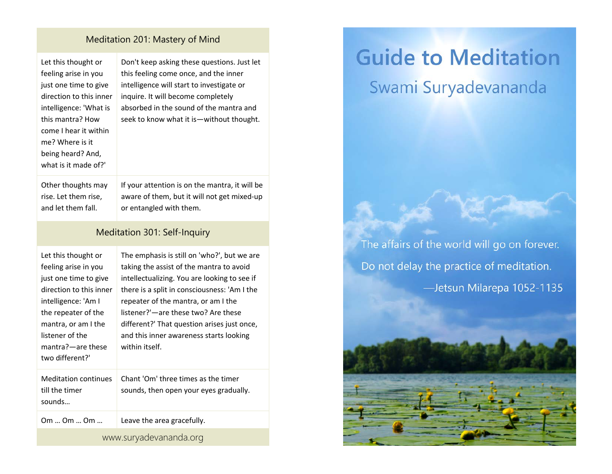## Meditation 201: Mastery of Mind

| Let this thought or<br>feeling arise in you<br>just one time to give<br>direction to this inner<br>intelligence: 'What is<br>this mantra? How<br>come I hear it within<br>me? Where is it<br>being heard? And,<br>what is it made of?' | Don't keep asking these questions. Just let<br>this feeling come once, and the inner<br>intelligence will start to investigate or<br>inquire. It will become completely<br>absorbed in the sound of the mantra and<br>seek to know what it is-without thought.                                                                                                                    |  |
|----------------------------------------------------------------------------------------------------------------------------------------------------------------------------------------------------------------------------------------|-----------------------------------------------------------------------------------------------------------------------------------------------------------------------------------------------------------------------------------------------------------------------------------------------------------------------------------------------------------------------------------|--|
| Other thoughts may<br>rise. Let them rise,<br>and let them fall.                                                                                                                                                                       | If your attention is on the mantra, it will be<br>aware of them, but it will not get mixed-up<br>or entangled with them.                                                                                                                                                                                                                                                          |  |
| Meditation 301: Self-Inquiry                                                                                                                                                                                                           |                                                                                                                                                                                                                                                                                                                                                                                   |  |
| Let this thought or<br>feeling arise in you<br>just one time to give<br>direction to this inner<br>intelligence: 'Am I<br>the repeater of the<br>mantra, or am I the<br>listener of the<br>mantra?-are these<br>two different?'        | The emphasis is still on 'who?', but we are<br>taking the assist of the mantra to avoid<br>intellectualizing. You are looking to see if<br>there is a split in consciousness: 'Am I the<br>repeater of the mantra, or am I the<br>listener?'-are these two? Are these<br>different?' That question arises just once,<br>and this inner awareness starts looking<br>within itself. |  |
| <b>Meditation continues</b><br>till the timer<br>sounds                                                                                                                                                                                | Chant 'Om' three times as the timer<br>sounds, then open your eyes gradually.                                                                                                                                                                                                                                                                                                     |  |
| 0m  0m  0m                                                                                                                                                                                                                             | Leave the area gracefully.                                                                                                                                                                                                                                                                                                                                                        |  |
| www.suryadevananda.org                                                                                                                                                                                                                 |                                                                                                                                                                                                                                                                                                                                                                                   |  |

## **Guide to Meditation**

## Swami Suryadevananda

The affairs of the world will go on forever. Do not delay the practice of meditation. -Jetsun Milarepa 1052-1135